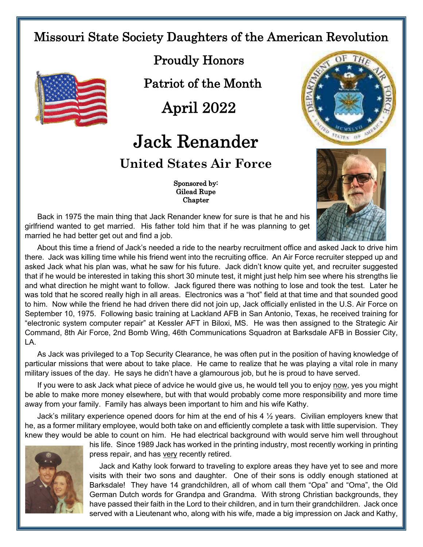## Missouri State Society Daughters of the American Revolution



 Proudly Honors Patriot of the Month

April 2022

## Jack Renander **United States Air Force**

 Sponsored by: Gilead Rupe Chapter





Back in 1975 the main thing that Jack Renander knew for sure is that he and his girlfriend wanted to get married. His father told him that if he was planning to get married he had better get out and find a job.

About this time a friend of Jack's needed a ride to the nearby recruitment office and asked Jack to drive him there. Jack was killing time while his friend went into the recruiting office. An Air Force recruiter stepped up and asked Jack what his plan was, what he saw for his future. Jack didn't know quite yet, and recruiter suggested that if he would be interested in taking this short 30 minute test, it might just help him see where his strengths lie and what direction he might want to follow. Jack figured there was nothing to lose and took the test. Later he was told that he scored really high in all areas. Electronics was a "hot" field at that time and that sounded good to him. Now while the friend he had driven there did not join up, Jack officially enlisted in the U.S. Air Force on September 10, 1975. Following basic training at Lackland AFB in San Antonio, Texas, he received training for "electronic system computer repair" at Kessler AFT in Biloxi, MS. He was then assigned to the Strategic Air Command, 8th Air Force, 2nd Bomb Wing, 46th Communications Squadron at Barksdale AFB in Bossier City, LA.

As Jack was privileged to a Top Security Clearance, he was often put in the position of having knowledge of particular missions that were about to take place. He came to realize that he was playing a vital role in many military issues of the day. He says he didn't have a glamourous job, but he is proud to have served.

If you were to ask Jack what piece of advice he would give us, he would tell you to enjoy now, yes you might be able to make more money elsewhere, but with that would probably come more responsibility and more time away from your family. Family has always been important to him and his wife Kathy.

Jack's military experience opened doors for him at the end of his 4 ½ years. Civilian employers knew that he, as a former military employee, would both take on and efficiently complete a task with little supervision. They knew they would be able to count on him. He had electrical background with would serve him well throughout



his life. Since 1989 Jack has worked in the printing industry, most recently working in printing press repair, and has very recently retired.

Jack and Kathy look forward to traveling to explore areas they have yet to see and more visits with their two sons and daughter. One of their sons is oddly enough stationed at Barksdale! They have 14 grandchildren, all of whom call them "Opa" and "Oma", the Old German Dutch words for Grandpa and Grandma. With strong Christian backgrounds, they have passed their faith in the Lord to their children, and in turn their grandchildren. Jack once served with a Lieutenant who, along with his wife, made a big impression on Jack and Kathy,